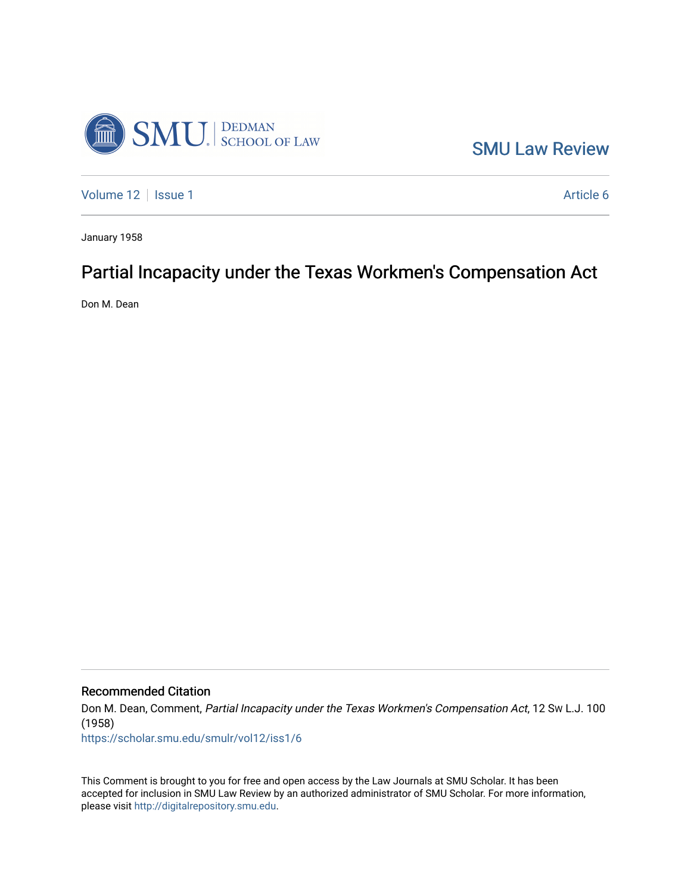

[SMU Law Review](https://scholar.smu.edu/smulr) 

[Volume 12](https://scholar.smu.edu/smulr/vol12) | [Issue 1](https://scholar.smu.edu/smulr/vol12/iss1) Article 6

January 1958

# Partial Incapacity under the Texas Workmen's Compensation Act

Don M. Dean

Recommended Citation

Don M. Dean, Comment, Partial Incapacity under the Texas Workmen's Compensation Act, 12 SW L.J. 100 (1958)

[https://scholar.smu.edu/smulr/vol12/iss1/6](https://scholar.smu.edu/smulr/vol12/iss1/6?utm_source=scholar.smu.edu%2Fsmulr%2Fvol12%2Fiss1%2F6&utm_medium=PDF&utm_campaign=PDFCoverPages) 

This Comment is brought to you for free and open access by the Law Journals at SMU Scholar. It has been accepted for inclusion in SMU Law Review by an authorized administrator of SMU Scholar. For more information, please visit [http://digitalrepository.smu.edu.](http://digitalrepository.smu.edu/)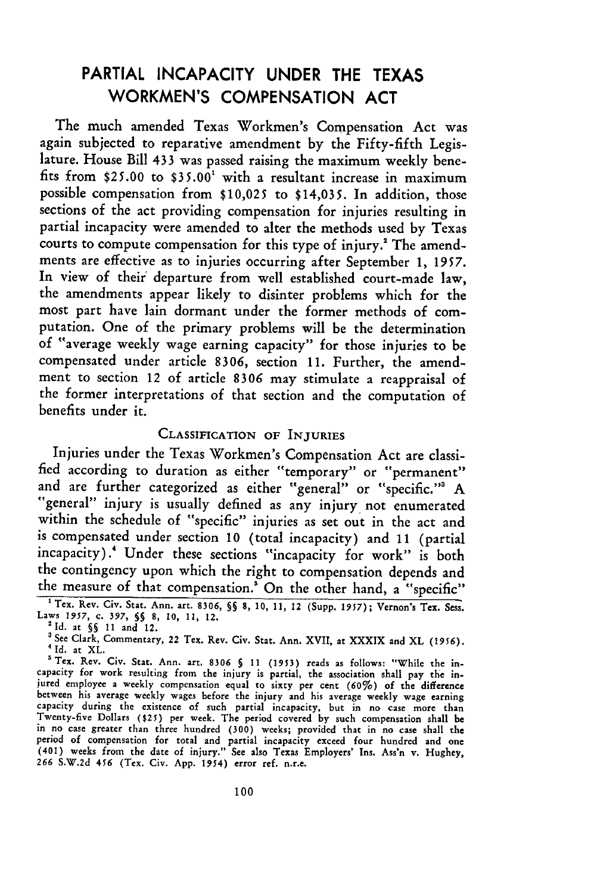## PARTIAL **INCAPACITY UNDER** THE **TEXAS** WORKMEN'S **COMPENSATION ACT**

The much amended Texas Workmen's Compensation Act was again subjected to reparative amendment by the Fifty-fifth Legislature. House Bill 433 was passed raising the maximum weekly benefits from **\$25.00** to **\$35.00'** with a resultant increase in maximum possible compensation from **\$10,025** to \$14,035. In addition, those sections of the act providing compensation for injuries resulting in partial incapacity were amended to alter the methods used by Texas courts to compute compensation for this type of injury.<sup>2</sup> The amendments are effective as to injuries occurring after September 1, 1957. In view of their departure from well established court-made law, the amendments appear likely to disinter problems which for the most part have lain dormant under the former methods of computation. One of the primary problems will be the determination of "average weekly wage earning capacity" for those injuries to be compensated under article **8306,** section 11. Further, the amendment to section 12 of article 8306 may stimulate a reappraisal of the former interpretations of that section and the computation of benefits under it.

## CLASSIFICATION **OF INJURIES**

Injuries under the Texas Workmen's Compensation Act are classified according to duration as either "temporary" or "permanent" and are further categorized as either "general" or "specific." A "general" injury is usually defined as any injury not enumerated within the schedule of "specific" injuries as set out in the act and is compensated under section 10 (total incapacity) and 11 (partial incapacity).' Under these sections "incapacity for work" is both the contingency upon which the right to compensation depends and the measure of that compensation.' On the other hand, a "specific" 'Tex. Rev. Civ. Stat. Ann. art. **8306, 5§** 8, 10, **11,** 12 (Supp. 1957); Vernon's Tex. Sess.

Laws 1957, c. 397, §§ 8, 10, 11, 12.

<sup>&#</sup>x27;See Clark, Commentary, 22 Tex. Rev. Civ. Stat. Ann. XVII, at XXXIX and XL **(1956).** <sup>4</sup>**Id.** at XL.

<sup>&#</sup>x27;Tex. Rev. Civ. Stat. Ann. art. 8306 5 **11** (1953) reads as follows: "While the incapacity for work resulting from the injury is partial, the association shall pay the injured employee a weekly compensation equal to sixty per cent **(60%)** of the difference between his average weekly wages before the injury and his average weekly wage earning<br>capacity during the existence of such partial incapacity, but in no case more than Twenty-five Dollars **(\$25)** per week. The period covered **by** such compensation shall be in no case greater than three hundred **(300)** weeks; provided that in no case shall the period of compensation for total and partial incapacity exceed four hundred and one<br>(401) weeks from the date of injury." See also Texas Employers' Ins. Ass'n v. Hughey,<br>266 S.W.2d 456 (Tex. Civ. App. 1954) error ref. n.r.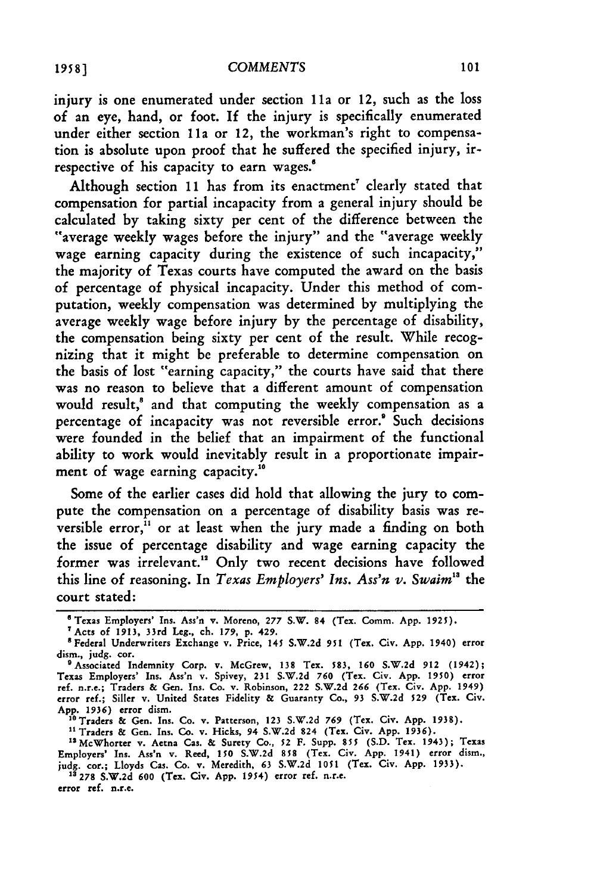injury is one enumerated under section **11a** or 12, such as the loss of an eye, hand, or foot. **If** the injury is specifically enumerated under either section 11a or 12, the workman's right to compensation is absolute upon proof that he suffered the specified injury, irrespective of his capacity to earn wages.'

Although section 11 has from its enactment' clearly stated that compensation for partial incapacity from a general injury should be calculated by taking sixty per cent of the difference between the "average weekly wages before the injury" and the "average weekly wage earning capacity during the existence of such incapacity," the majority of Texas courts have computed the award on the basis of percentage of physical incapacity. Under this method of computation, weekly compensation was determined by multiplying the average weekly wage before injury by the percentage of disability, the compensation being sixty per cent of the result. While recognizing that it might be preferable to determine compensation on the basis of lost "earning capacity," the courts have said that there was no reason to believe that a different amount of compensation would result," and that computing the weekly compensation as a percentage of incapacity was not reversible error.' Such decisions were founded in the belief that an impairment of the functional ability to work would inevitably result in a proportionate impairment of wage earning capacity."°

Some of the earlier cases did hold that allowing the jury to compute the compensation on a percentage of disability basis was reversible error, $i<sup>11</sup>$  or at least when the jury made a finding on both the issue of percentage disability and wage earning capacity the former was irrelevant." Only two recent decisions have followed this line of reasoning. In *Texas Employers' Ins. Ass'n v. Swaim1"* the court stated:

" **Traders & Gen. Ins. Co. v. Hicks, 94 S.W.2d 824 (Tex. Civ. App. 1936). <sup>t</sup> <sup>5</sup> McWhorter v. Aetna Cas. & Surety** Co., **52 F. Supp. 855 (S.D. Tex. 1943); Texas**

**Employers' Ins. Ass'n v.** Reed, **150 S.W.2d 858 (Tex. Civ. App. 1941) error dism., judg. cor.; Lloyds Cas. Co. v.** Meredith, **63 S.W.2d 1051 (Tex. Civ. App. 1933). 13 278 S.W.2d 600 (Tex. Civ. App. 1954) error ref. n.r.c.**

**error ref. n.r.e.**

**<sup>&#</sup>x27; Texas Employers' Ins.** Ass'n **v. Moreno, 277 S.W. 84 (Tex. Comm. App. 1925).**

**<sup>7</sup>Acts** of **1913,** 33rd **Leg., ch. 179, p. 429.**

<sup>&</sup>lt;sup>8</sup> Federal Underwriters Exchange v. Price, 145 S.W.2d 951 (Tex. Civ. App. 1940) error **dism., judg. cor.**

**<sup>&#</sup>x27;Associated Indemnity Corp. v. McGrew, 138 Tex. 583, 160 S.W.2d 912 (1942); Texas Employers' Ins. Ass'n v. Spivey, 231 S.W.2d 760 (Tex. Civ. App. 1950) error ref. n.r.e.; Traders & Gen. Ins. Co. v. Robinson, 222 S.W.2d 266 (Tex. Civ. App. 1949) error ref.; Siller v. United** States Fidelity **& Guaranty Co., 93 S.W.2d 529 (Tex. Civ. App. 1936) error dism. ' <sup>8</sup> Traders & Gen. Ins. Co. v. Patterson, 123 S.W.2d 769 (Tex. Civ. App. 1938).**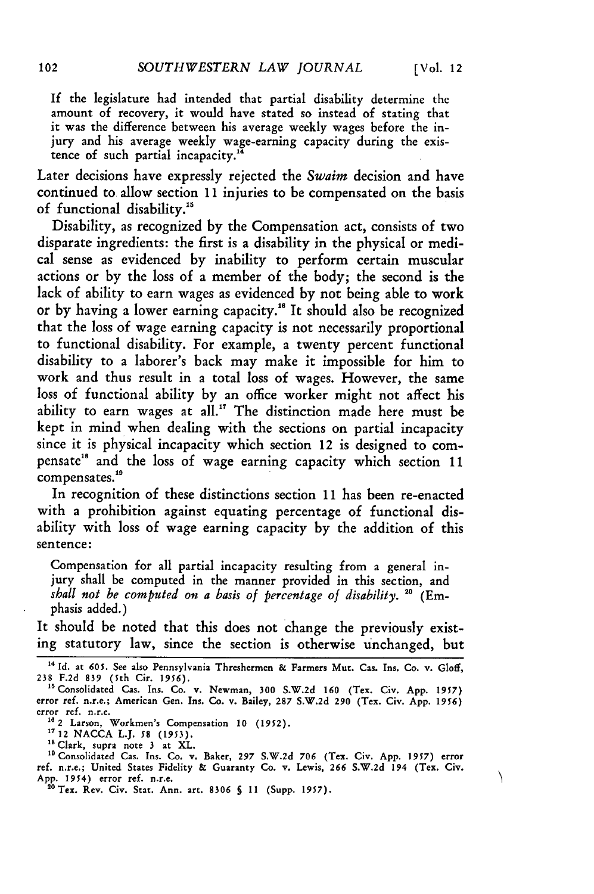Λ

If the legislature had intended that partial disability determine the amount of recovery, it would have stated so instead of stating that it was the difference between his average weekly wages before the injury and his average weekly wage-earning capacity during the existence of such partial incapacity.

Later decisions have expressly rejected the *Swaim* decision and have continued to allow section **11** injuries to be compensated on the basis of functional disability."

Disability, as recognized **by** the Compensation act, consists of two disparate ingredients: the first is a disability in the physical or medical sense as evidenced **by** inability to perform certain muscular actions or by the loss of a member of the body; the second is the lack of ability to earn wages as evidenced **by** not being able to work or by having a lower earning capacity.<sup>16</sup> It should also be recognized that the loss of wage earning capacity is not necessarily proportional to functional disability. For example, a twenty percent functional disability to a laborer's back may make it impossible for him to work and thus result in a total loss of wages. However, the same loss of functional ability **by** an office worker might not affect his ability to earn wages at all." The distinction made here must be kept in mind when dealing with the sections on partial incapacity since it is physical incapacity which section 12 is designed to compensate<sup>18</sup> and the loss of wage earning capacity which section 11 compensates.'

In recognition of these distinctions section 11 has been re-enacted with a prohibition against equating percentage of functional disability with loss of wage earning capacity by the addition of this sentence:

Compensation for all partial incapacity resulting from a general injury shall be computed in the manner provided in this section, and *shall not be computed on a basis of percentage of disability.* <sup>20</sup> (Emphasis added.)

It should be noted that this does not change the previously existing statutory law, since the section is otherwise unchanged, but

**<sup>&</sup>quot;4 Id.** at 605. See also Pennsylvania Threshermen **&** Farmers Mut. Cas. Ins. Co. v. Gloff, 238 F.2d **839** (5th Cir. **1956).**

<sup>&</sup>lt;sup>15</sup> Consolidated Cas. Ins. Co. v. Newman, 300 S.W.2d 160 (Tex. Civ. App. 1957) error ref. n.r.e.; American Gen. Ins. Co. v. Bailey, 287 S.W.2d 290 (Tex. Civ. App. 1956) error ref. n.r.e.

**<sup>1&</sup>quot;2** Larson, Workmen's Compensation **10 (1952).**

**<sup>17</sup>**12 NACCA L.J. **58 (1953).**

<sup>&</sup>lt;sup>18</sup> Clark, supra note 3 at XL.<br><sup>19</sup> Consolidated Cas. Ins. Co. v. Baker, 297 S.W.2d 706 (Tex. Civ. App. 1957) error<br>ref. n.r.e.; United States Fidelity & Guaranty Co. v. Lewis, 266 S.W.2d 194 (Tex. Civ App. 1954) error ref. n.r.e.

<sup>&</sup>quot;Tex. Rev. Civ. Stat. Ann. art. **8306** *5* **11** (Supp. **1957).**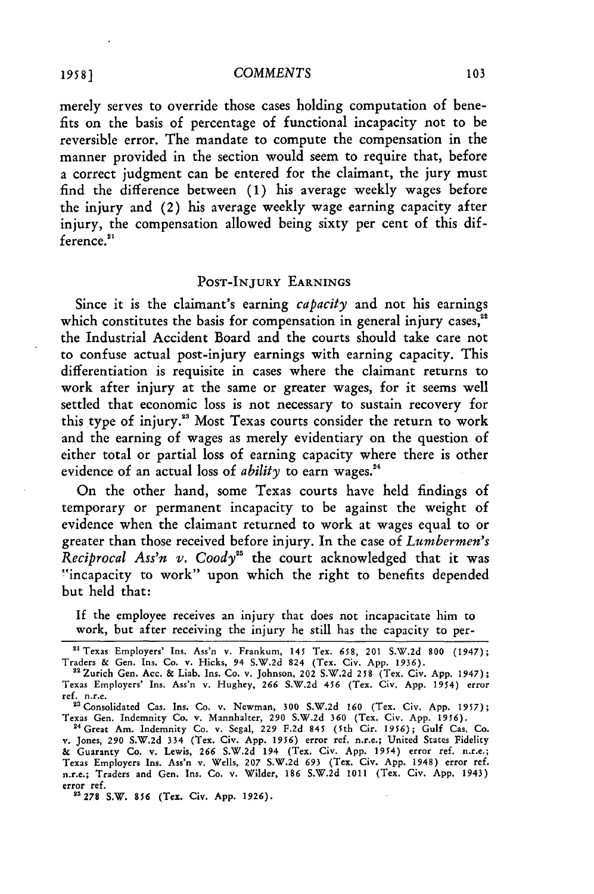merely serves to override those cases holding computation of benefits on the basis of percentage of functional incapacity not to be reversible error. The mandate to compute the compensation in the manner provided in the section would seem to require that, before a correct judgment can be entered for the claimant, the jury must find the difference between **(1)** his average weekly wages before the injury and (2) his average weekly wage earning capacity after injury, the compensation allowed being sixty per cent of this difference.<sup>21</sup>

## POST-INJURY EARNINGS

Since it is the claimant's earning *capacity* and not his earnings which constitutes the basis for compensation in general injury cases,<sup>22</sup> the Industrial Accident Board and the courts should take care not to confuse actual post-injury earnings with earning capacity. This differentiation is requisite in cases where the claimant returns to work after injury at the same or greater wages, for it seems well settled that economic loss is not necessary to sustain recovery for this type of **injury."** Most Texas courts consider the return to work and the earning of wages as merely evidentiary on the question of either total or partial loss of earning capacity where there is other evidence of an actual loss of *ability* to earn wages."

On the other hand, some Texas courts have held findings of temporary or permanent incapacity to be against the weight of evidence when the claimant returned to work at wages equal to or greater than those received before injury. In the case of *Lumbermen's Reciprocal Ass'n v. Coody"* the court acknowledged that it was "incapacity to work" upon which the right to benefits depended but held that:

**If** the employee receives an injury that does not incapacitate him to work, but after receiving the injury he still has the capacity to per-

**1958 ]**

**<sup>&</sup>quot;** Texas Employers' Ins. Ass'n v. Frankum, 145 Tex. 658, 201 S.W.2d **800** (1947); Traders & Gen. Ins. Co. v. Hicks, 94 S.W.2d 824 (Tex. Civ. App. 1936). "Zurich Gen. Ace. & Liab. Ins. Co. v. Johnson, 202 S.W.2d **258** (Tex. Civ. App. 1947);

Texas Employers' Ins. Ass'n v. Hughey, **266** S.W.2d 456 (Tex. Civ. App. 1954) error ref. n.r.e. "Consolidated Cas. Ins. Co. v. Newman, 300 S.W.2d 160 (Tex. Civ. App. 1957);

Texas Gen. Indemnity Co. v. Mannhalter, 290 S.W.2d 360 (Tex. Civ. App. 1956).

<sup>&</sup>lt;sup>24</sup> Great Am. Indemnity Co. v. Segal, 229 F.2d 845 (5th Cir. 1956); Gulf Cas. Co<br>v. Jones, 290 S.W.2d 334 (Tex. Civ. App. 1956) error ref. n.r.e.; United States Fidelity **&** Guaranty Co. v. Lewis, **266** S.W.2d 194 (Tex. Civ. App. 1954) error ref. n.r.e.; Texas Employers Ins. **Ass'n** v. Wells, **207** S.W.2d **693** (Tex. Civ. App. 1948) error ref. n.r.e.; Traders and Gen. Ins. Co. v. Wilder, **186** S.W.2d 1011 (Tex. Civ. App. 1943) error ref.

**<sup>&</sup>quot;s278** S.W. **856** (Tex. Civ. **App. 1926).**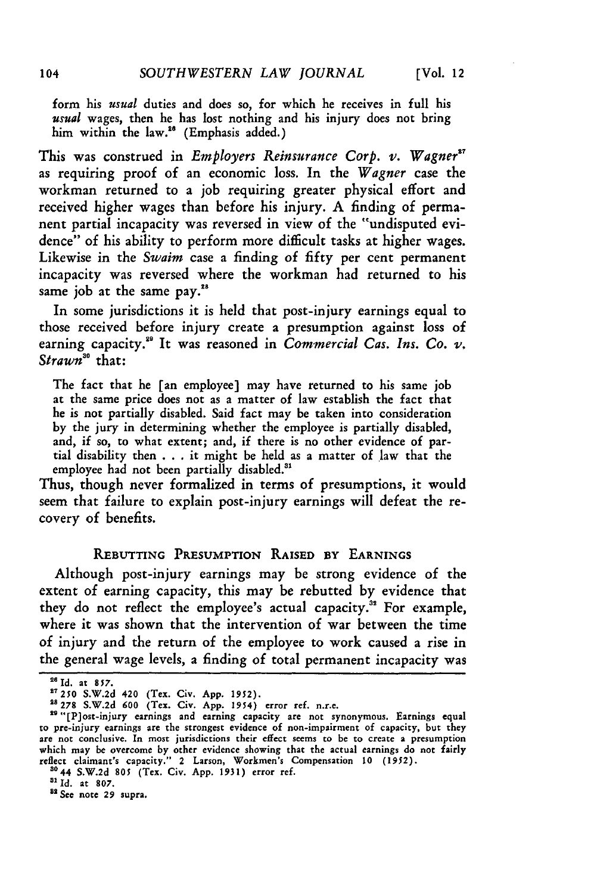form his *usual* duties and does so, for which he receives in full his *usual* wages, then he has lost nothing and his injury does not bring him within the law.<sup>26</sup> (Emphasis added.)

This was construed in *Employers Reinsurance Corp. v. Wagner"* as requiring proof of an economic loss. In the *Wagner* case the workman returned to a **job** requiring greater physical effort and received higher wages than before his injury. A finding of permanent partial incapacity was reversed in view of the "undisputed evidence" of his ability to perform more difficult tasks at higher wages. Likewise in the *Swaim* case a finding of fifty per cent permanent incapacity was reversed where the workman had returned to his same job at the same pay.<sup>28</sup>

In some jurisdictions it is held that post-injury earnings equal to those received before injury create a presumption against loss of earning capacity.<sup>29</sup> It was reasoned in *Commercial Cas. Ins. Co. v. Strawn5 °* that:

The fact that he [an employee] may have returned to his same **job** at the same price does not as a matter of law establish the fact that he is not partially disabled. Said fact may be taken into consideration by the jury in determining whether the employee is partially disabled, and, if so, to what extent; and, if there is no other evidence of partial disability then . . . it might be held as a matter of law that the employee had not been partially disabled.<sup>31</sup>

Thus, though never formalized in terms of presumptions, it would seem that failure to explain post-injury earnings will defeat the recovery of benefits.

## **REBUTTING PRESUMPTION RAISED By EARNINGS**

Although post-injury earnings may be strong evidence of the extent of earning capacity, this may **be** rebutted **by** evidence that they do not reflect the employee's actual capacity.<sup>32</sup> For example, where it was shown that the intervention of war between the time of injury and the return of the employee to work caused a rise in the general wage levels, a finding of total permanent incapacity was

**<sup>2&#</sup>x27;Id.** at **857.**

**<sup>27250</sup>** S.W.2d 420 (Tex. Civ. App. 1952). **28278** S.W.2d **600** (Tex. Civ. App. 1954) error ref. n.r.e.

<sup>29&</sup>quot;[P]ost-injury earnings and earning capacity are not synonymous. Earnings equal to pre-injury earnings are the strongest evidence of non-impairment of capacity, but they are not conclusive. In most jurisdictions their effect seems to be to create a presumption which may be overcome by other evidence showing that the actual earnings do not fairly reflect claimant's capacity." 2 Larson, Workmen's Compensation **10** *(1952).*

**<sup>3044</sup>** S.W.2d **805** (Tex. Civ. App. 1931) error ref.

**<sup>3</sup> Id.** at **807.**

**<sup>&</sup>quot;** *See* note **29** supra.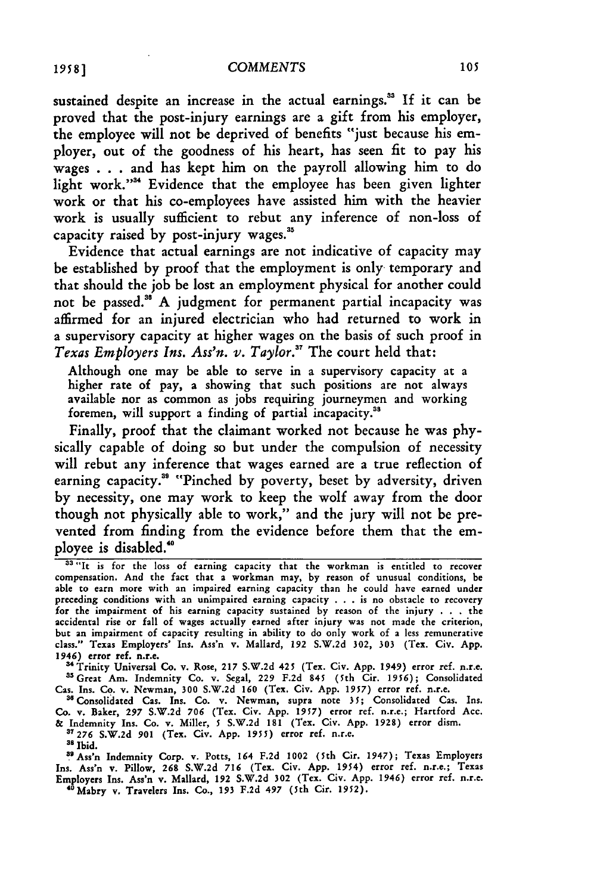sustained despite an increase in the actual earnings.<sup>33</sup> If it can be proved that the post-injury earnings are a gift from his employer, the employee will not be deprived of benefits "just because his employer, out of the goodness of his heart, has seen fit to pay his wages **. ..**and has kept him on the payroll allowing him to do light work."<sup>34</sup> Evidence that the employee has been given lighter work or that his co-employees have assisted him with the heavier work is usually sufficient to rebut any inference of non-loss of capacity raised **by** post-injury wages."

Evidence that actual earnings are not indicative of capacity may be established **by** proof that the employment is only temporary and that should the **job** be lost an employment physical for another could not be passed."5 **A** judgment for permanent partial incapacity was affirmed for an injured electrician who had returned to work in a supervisory capacity at higher wages on the basis of such proof in *Texas Employers Ins. Ass'n. v. Taylor."* The court held that:

Although one may be able to serve in a supervisory capacity at a higher rate of pay, a showing that such positions are not always available nor as common as jobs requiring journeymen and working foremen, will support a finding of partial incapacity.<sup>38</sup>

Finally, proof that the claimant worked not because he was physically capable of doing so but under the compulsion of necessity will rebut any inference that wages earned are a true reflection of earning capacity.<sup>38</sup> "Pinched by poverty, beset by adversity, driven **by** necessity, one may work to keep the wolf away from the door though not physically able to work," and the jury will not be prevented from finding from the evidence before them that the employee is disabled."0

<sup>34</sup> Trinity Universal Co. v. Rose, 217 S.W.2d 425 (Tex. Civ. App. 1949) error ref. n.r.e. a'Great Am. Indemnity **Co. v.** Segal, **229 F.2d** 845 (5th Cir. 1956); Consolidated Cas. Ins. Co. v. Newman, **300** S.W.2d **160** (Tex. Civ. App. *1957)* error ref. n.r.e.

3"Consolidated Cas. Ins. Co. v. Newman, supra note **35;** Consolidated Cas. Ins. Co. v. Baker, **297 S.W.2d 706** (Tex. Civ. App. **1957)** error ref. n.r.e.; Hartford Acc. **&** Indemnity Ins. Co. v. Miller, **5 S.W.2d** 181 (Tex. Civ. App. 1928) error dism. **37276 S.W.2d 901** (Tex. Civ. App. 1955) error ref. n.r.e.

**'8** Ibid.

<sup>39</sup> Ass'n Indemnity Corp. v. Potts, 164 F.2d 1002 (5th Cir. 1947); Texas Employers<br>Ins. Ass'n v. Pillow, 268 S.W.2d 716 (Tex. Civ. App. 1954) error ref. n.r.e.; Texas<br>Employers Ins. Ass'n v. Mallard, 192 S.W.2d 302 (Tex. "Mabry v. Travelers Ins. Co., 193 **F.2d** 497 (5th Cir. 1952).

<sup>&</sup>lt;sup>33 "It is for the loss of earning capacity that the workman is entitled to recover</sup> compensation. And the fact that a workman may, by reason of unusual conditions, be able to earn more with an impaired earning capacity than he could have earned under preceding conditions with an unimpaired earning capacity **.. .**is no obstacle to recovery for the impairment of his earning capacity sustained by reason of the injury **. .** . the accidental rise or **fall of** wages actually earned after injury was not made the criterion, but an impairment of capacity resulting in ability to do only work of a less remunerative class." Texas Employers' Ins. Ass'n v. Mallard, **192 S.W.2d** 302, **303** (Tex. Civ. App. 1946) error ref. n.r.e.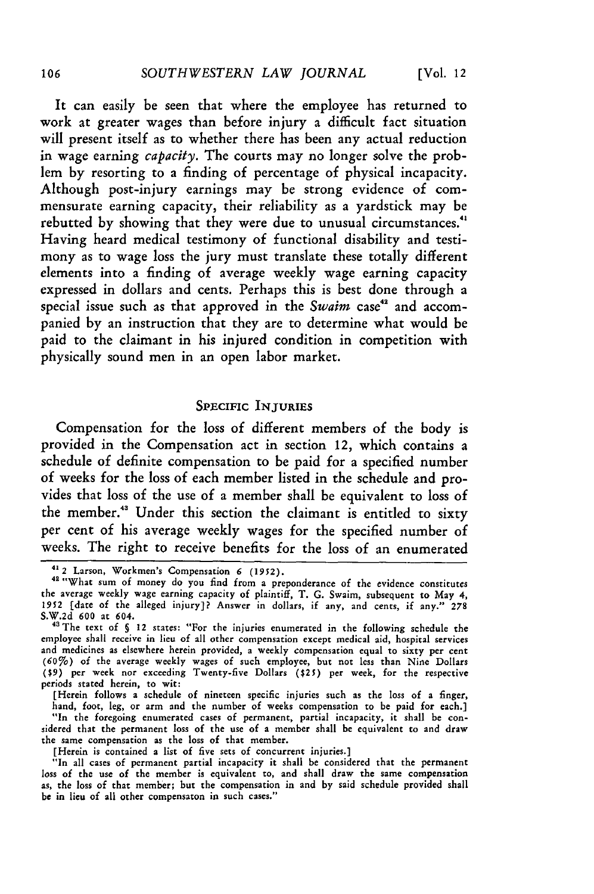It can easily be seen that where the employee has returned to work at greater wages than before injury a difficult fact situation will present itself as to whether there has been any actual reduction in wage earning *capacity.* The courts may no longer solve the problem **by** resorting to a finding of percentage of physical incapacity. Although post-injury earnings may be strong evidence of commensurate earning capacity, their reliability as a yardstick may be rebutted **by** showing that they were due to unusual circumstances."' Having heard medical testimony of functional disability and testimony as to wage loss the jury must translate these totally different elements into a finding of average weekly wage earning capacity expressed in dollars and cents. Perhaps this is best done through a special issue such as that approved in the *Swaim* case<sup>42</sup> and accompanied by an instruction that they are to determine what would be paid to the claimant in his injured condition in competition with physically sound men in an open labor market.

## SPECIFIC INJURIES

Compensation for the loss of different members of the body is provided in the Compensation act in section 12, which contains a schedule of definite compensation to be paid for a specified number of weeks for the loss of each member listed in the schedule and provides that loss of the use of a member shall be equivalent to loss of the member." Under this section the claimant is entitled to sixty per cent of his average weekly wages for the specified number of weeks. The right to receive benefits for the loss of an enumerated

[Herein follows a schedule of nineteen specific injuries such as the loss of a finger, hand, foot, leg, or arm and the number of weeks compensation to be paid for each.]

"In the foregoing enumerated cases of permanent, partial incapacity, it shall be considered that the permanent loss of the use of a member shall be equivalent to and draw the same compensation as the loss of that member.

[Herein is contained a list of five sets of concurrent injuries.]

"In all cases of permanent partial incapacity it shall be considered that the permanen loss of the use of the member is equivalent to, and shall draw the same compensation as, the loss of that member; but the compensation in and by said schedule provided shall **be** in lieu of all other compensaton in such cases."

**<sup>412</sup>** Larson, Workmen's Compensation **6** (1952).

**<sup>42</sup>**"What sum of money do you find from a preponderance of the evidence constitutes the average weekly wage earning capacity of plaintiff, T. G. Swaim, subsequent to May 4, 1952 [date of the alleged injury]? Answer in dollars, if any, and cents, if any." **278 S.W.2d 600** at 604.

<sup>43</sup>The text of **§** 12 states: "For the injuries enumerated in the following schedule the employee shall receive in lieu of all other compensation except medical aid, hospital services and medicines as elsewhere herein provided, a weekly compensation equal to sixty per cent (60%) of the average weekly wages of such employee, but not less than Nine Dollars (\$9) per week nor exceeding Twenty-five Dollars (\$25) per week, for the respective periods stated herein, to wit: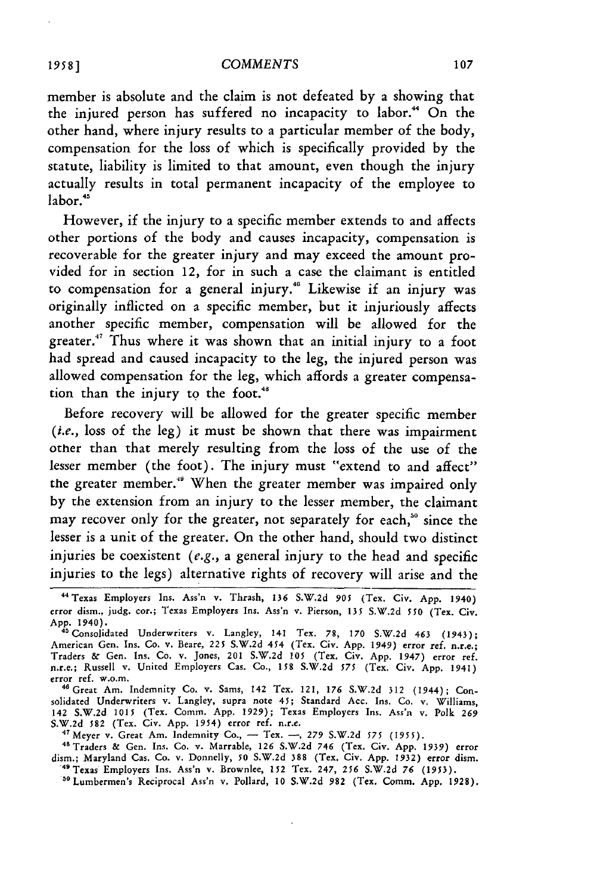member is absolute and the claim is not defeated by a showing that the injured person has suffered no incapacity to labor." On the other hand, where injury results to a particular member of the body, compensation for the loss of which is specifically provided by the statute, liability is limited to that amount, even though the injury actually results in total permanent incapacity of the employee to labor.<sup>45</sup>

However, if the injury to a specific member extends to and affects other portions of the body and causes incapacity, compensation is recoverable for the greater injury and may exceed the amount provided for in section 12, for in such a case the claimant is entitled to compensation for a general injury." Likewise if an injury was originally inflicted on a specific member, but it injuriously affects another specific member, compensation will be allowed for the greater.<sup>47</sup> Thus where it was shown that an initial injury to a foot had spread and caused incapacity to the leg, the injured person was allowed compensation for the leg, which affords a greater compensation than the injury to the foot.<sup>48</sup>

Before recovery will be allowed for the greater specific member *(i.e.,* loss of the leg) it must be shown that there was impairment other than that merely resulting from the loss of the use of the lesser member (the foot). The injury must "extend to and affect" the greater member." When the greater member was impaired only by the extension from an injury to the lesser member, the claimant may recover only for the greater, not separately for each,<sup>50</sup> since the lesser is a unit of the greater. On the other hand, should two distinct injuries be coexistent *(e.g.,* a general injury to the head and specific injuries to the legs) alternative rights of recovery will arise and the

solidated Underwriters v. Langley, supra note 45; Standard Acc. Ins. Co. v. Williams, 142 S.W.2d **1015** (Tex. Comm. App. 1929); Texas Employers Ins. Ass'n v. Polk *269* S.W.2d 582 (Tex. Civ. App. 1954) error ref. n.r.e.<br><sup>47</sup> Meyer v. Great Am. Indemnity Co., - Tex. -, 279 S.W.2d 575 (1955).<br><sup>48</sup> Traders & Gen. Ins. Co. v. Marrable, 126 S.W.2d 746 (Tex. Civ. App. 1939) erro.

<sup>&</sup>quot;Texas Employers Ins. Ass'n v. Thrash, **136** S.W.2d **905** (Tex. Civ. App. 1940) error dism., judg. cor.; Texas Employers Ins. Ass'n v. Pierson, **135** S.W.2d **550** (Tex. Civ. App. 1940).

<sup>&</sup>lt;sup>45</sup> Consolidated Underwriters v. Langley, 141 Tex. 78, 170 S.W.2d 463 (1943);<br>American Gen. Ins. Co. v. Beare, 225 S.W.2d 454 (Tex. Civ. App. 1949) error ref. n.r.e.;<br>Traders & Gen. Ins. Co. v. Jones, 201 S.W.2d 105 (Tex. n.r.e.; Russell v. United Employers Cas. Co., **158** S.W.2d **575** (Tex. Civ. App. 1941) error ref. w.o.m. 46Great Am. Indemnity Co. v. Sams, 142 Tex. 121, *176* **S.W.2d** 312 (1944); Con-

dism.; Maryland Cas. Co. v. Donnelly, **50 S.W.2d 388** (Tex. Civ. App. **1932)** error dism. 49Texas Employers Ins. Ass'n v. Brownlee, 152 Tex. 247, **256** S.W.2d **76** (1953). <sup>49</sup> Texas Employers Ins. Ass'n v. Brownlee, 152 Tex. 247, 256 S.W.2d 76 (1953).<br><sup>'30</sup> Lumbermen's Reciprocal Ass'n v. Pollard, 10 S.W.2d 982 (Tex. Comm. App. 1928).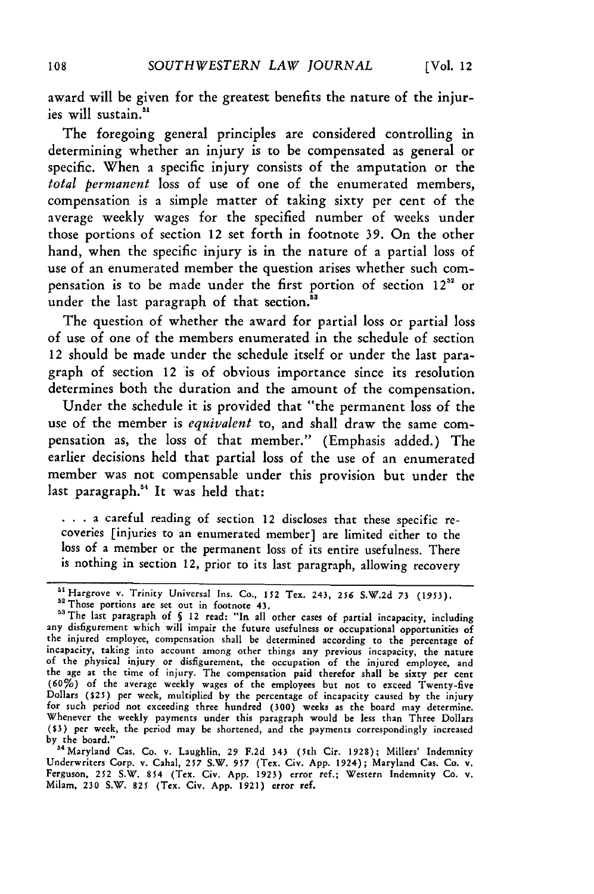award will be given for the greatest benefits the nature of the injuries will sustain.<sup>51</sup>

The foregoing general principles are considered controlling in determining whether an injury is to be compensated as general or specific. When a specific injury consists of the amputation or the *total permanent* loss of use of one of the enumerated members, compensation is a simple matter of taking sixty per cent of the average weekly wages for the specified number of weeks under those portions of section 12 set forth in footnote **39.** On the other hand, when the specific injury is in the nature of a partial loss of use of an enumerated member the question arises whether such compensation is to be made under the first portion of section  $12^{52}$  or under the last paragraph of that section.<sup>53</sup>

The question of whether the award for partial loss or partial loss of use of one of the members enumerated in the schedule of section 12 should be made under the schedule itself or under the last paragraph of section 12 is of obvious importance since its resolution determines both the duration and the amount of the compensation.

Under the schedule it is provided that "the permanent loss of the use of the member is *equivalent* to, and shall draw the same compensation as, the loss of that member." (Emphasis added.) The earlier decisions held that partial loss of the use of an enumerated member was not compensable under this provision but under the last paragraph.<sup>54</sup> It was held that:

... a careful reading of section 12 discloses that these specific recoveries [injuries to an enumerated member] are limited either to the loss of a member or the permanent loss of its entire usefulness. There is nothing in section 12, prior to its last paragraph, allowing recovery

**<sup>5</sup>sHargrove** v. Trinity Universal Ins. Co., **152** Tex. 243, *256* **S.W.2d 73 (1953).** <sup>52</sup> Those portions are set out in footnote 43.

<sup>&</sup>lt;sup>53</sup> The last paragraph of § 12 read: "In all other cases of partial incapacity, including<br>any disfigurement which will impair the future usefulness or occupational opportunities of the injured employee, compensation shall be determined according to the percentage of incapacity, taking into account among other things any previous incapacity, the nature of the physical injury or disfigurement, the occupation of the injured employee, and the age at the time of injury. The compensation paid therefor shall be sixty per cent<br>(60%) of the average weekly wages of the employees but not to exceed Twenty-five<br>Dollars (\$25) per week, multiplied by the percentage of for such period not exceeding three hundred (300) weeks as the board may determine. Whenever the weekly payments under this paragraph would be less than Three Dollars **(\$3)** per week, the period may be shortened, and the payments correspondingly increased

by the board."<br><sup>54</sup> Maryland Cas. Co. v. Laughlin, 29 F.2d 343 (5th Cir. 1928); Millers' Indemnity<br>Underwriters Corp. v. Cahal, 257 S.W. 957 (Tex. Civ. App. 1924); Maryland Cas. Co. v<br>Ferguson, 252 S.W. 854 (Tex. Civ. App.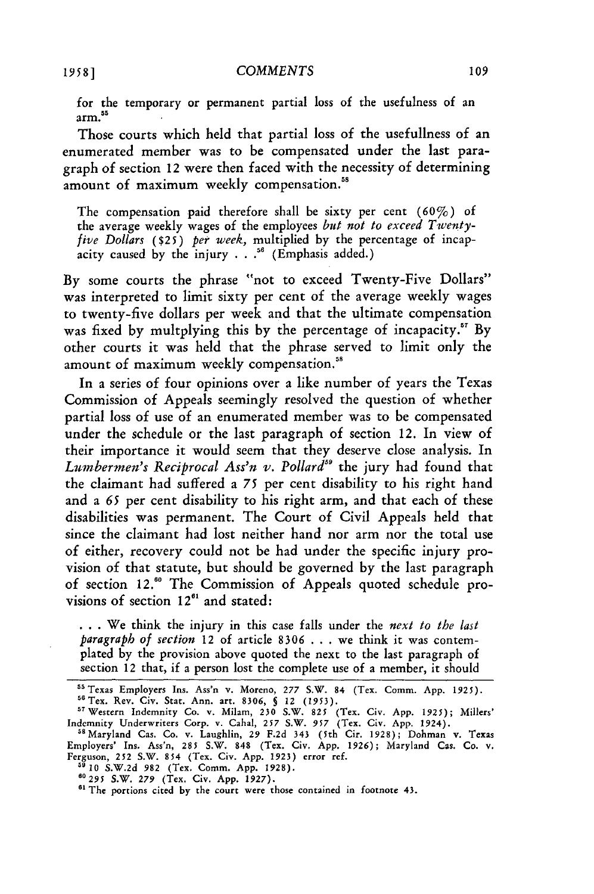for the temporary or permanent partial loss of the usefulness of an **<sup>55</sup>** arm.

Those courts which held that partial loss of the usefullness of an enumerated member was to be compensated under the last paragraph of section 12 were then faced with the necessity of determining amount of maximum weekly compensation.<sup>58</sup>

The compensation paid therefore shall be sixty per cent  $(60\%)$  of the average weekly wages of the employees *but not to exceed Twentyfive Dollars* (\$25) *per week,* multiplied by the percentage of incapacity caused by the injury . . **."** (Emphasis added.)

By some courts the phrase "not to exceed Twenty-Five Dollars" was interpreted to limit sixty per cent of the average weekly wages to twenty-five dollars per week and that the ultimate compensation was fixed by multplying this by the percentage of incapacity." By other courts it was held that the phrase served to limit only the amount of maximum weekly compensation.<sup>58</sup>

In a series of four opinions over a like number of years the Texas Commission of Appeals seemingly resolved the question of whether partial loss of use of an enumerated member was to be compensated under the schedule or the last paragraph of section 12. In view of their importance it would seem that they deserve close analysis. In Lumbermen's Reciprocal Ass'n v. Pollard<sup>59</sup> the jury had found that the claimant had suffered a *75* per cent disability to his right hand and a *65* per cent disability to his right arm, and that each of these disabilities was permanent. The Court of Civil Appeals held that since the claimant had lost neither hand nor arm nor the total use of either, recovery could not be had under the specific injury provision of that statute, but should be governed by the last paragraph of section 12.<sup>60</sup> The Commission of Appeals quoted schedule provisions of section  $12^{61}$  and stated:

• **. .** We think the injury in this case falls under the *next to the last paragraph of section* 12 of article **8306** . . . we think it was contemplated by the provision above quoted the next to the last paragraph of section 12 that, if a person lost the complete use of a member, it should

**5 10** S.W.2d 982 (Tex. Comm. App. 1928). *60295* S.W. *279* (Tex. Civ. App. 1927).

<sup>&</sup>lt;sup>55</sup> Texas Employers Ins. Ass'n v. Moreno, 277 S.W. 84 (Tex. Comm. App. 1925). " Tex. Rev. Civ. Stat. Ann. art. **8306,** *§* 12 (1953).

<sup>&</sup>quot; Western Indemnity Co. v. Milam, **230** S.W. **825** (Tex. Civ. App. 1925); Millers' Indemnity Underwriters Corp. v. Cahal, 257 S.W. *957* (Tex. Civ. App. 1924).

<sup>&</sup>lt;sup>58</sup> Maryland Cas. Co. v. Laughlin, 29 F.2d 343 (5th Cir. 1928); Dohman v. Texas Employers' Ins. Ass'n, 285 S.W. **848** (Tex. Civ. App. **1926);** Maryland Cas. Co. v. Ferguson, **252** S.W. 854 (Tex. Civ. App. 1923) error ref.

<sup>&</sup>lt;sup>61</sup> The portions cited by the court were those contained in footnote 43.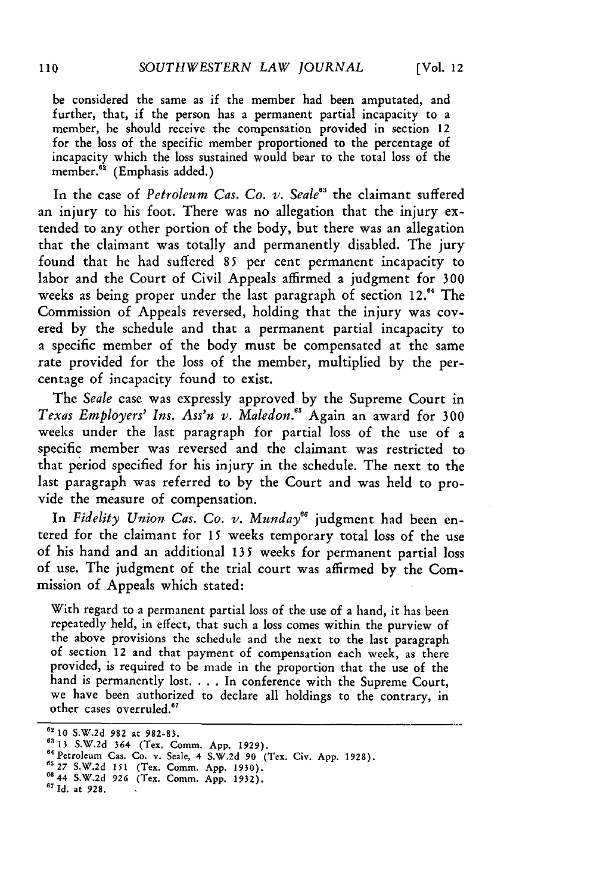be considered the same as if the member had been amputated, and further, that, if the person has a permanent partial incapacity to a member, he should receive the compensation provided in section **12** for the loss of the specific member proportioned to the percentage of incapacity which the loss sustained would bear to the total loss of the member.<sup>62</sup> (Emphasis added.)

In the case of *Petroleum Cas. Co. v. Seale<sup>83</sup>* the claimant suffered an injury to his foot. There was no allegation that the injury extended to any other portion of the body, but there was an allegation that the claimant was totally and permanently disabled. The jury found that he had suffered *85* per cent permanent incapacity to labor and the Court of Civil Appeals affirmed a judgment for **300** weeks as being proper under the last paragraph of section 12.<sup>64</sup> The Commission of Appeals reversed, holding that the injury was covered by the schedule and that a permanent partial incapacity to a specific member of the body must be compensated at the same rate provided for the loss of the member, multiplied by the percentage of incapacity found to exist.

The *Seale* case was expressly approved by the Supreme Court in *Texas Employers' Ins. Ass'n v. Maledon.5* Again an award for **300** weeks under the last paragraph for partial loss of the use of a specific member was reversed and the claimant was restricted to that period specified for his injury in the schedule. The next to the last paragraph was referred to **by** the Court and was held to provide the measure of compensation.

In *Fidelity Union Cas. Co. v. Munday66* judgment had been entered for the claimant for **15** weeks temporary total loss of the use of his hand and an additional **135** weeks for permanent partial loss of use. The judgment of the trial court was affirmed **by** the Commission of Appeals which stated:

With regard to a permanent partial loss of the use of a hand, it has been repeatedly held, in effect, that such a loss comes within the purview of the above provisions the schedule and the next to the last paragraph of section 12 and that payment of compensation each week, as there provided, is required to be made in the proportion that the use of the hand is permanently lost. . . . In conference with the Supreme Court, we have been authorized to declare all holdings to the contrary, in other cases overruled.<sup>67</sup>

**<sup>62 10</sup> S.W.2d 982** at **982-83.**

**<sup>63 13</sup> S.W.2d 364 (Tex. Comm. App. 1929).**<br><sup>64</sup> Petroleum Cas. Co. v. Scale, 4 S.W.2d 90 (Tex. Civ. App. 1928)<br><sup>65</sup> 27 S.W.2d 151 *(Tra. Cram. App. 1930)* (Tex. Civ. App. 1928)

**<sup>0644</sup> S.W.2d 926 (Tex.** Comm. **App. 1932). 67 Id. at 928.**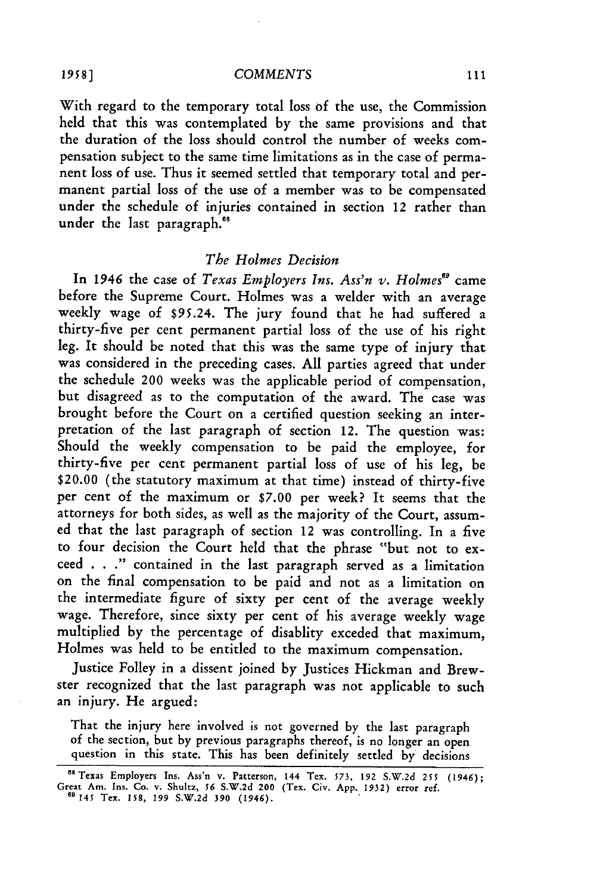With regard to the temporary total loss of the use, the Commission held that this was contemplated by the same provisions and that the duration of the loss should control the number of weeks compensation subject to the same time limitations as in the case of permanent loss of use. Thus it seemed settled that temporary total and permanent partial loss of the use of a member was to be compensated under the schedule of injuries contained in section 12 rather than under the last paragraph.<sup>68</sup>

### *The Holmes Decision*

In 1946 the case of *Texas Employers Ins. Ass'n v. Holmes<sup>89</sup>* came before the Supreme Court. Holmes was a welder with an average weekly wage of \$95.24. The jury found that he had suffered a thirty-five per cent permanent partial loss of the use of his right leg. It should be noted that this was the same type of injury that was considered in the preceding cases. All parties agreed that under the schedule 200 weeks was the applicable period of compensation, but disagreed as to the computation of the award. The case was brought before the Court on a certified question seeking an interpretation of the last paragraph of section 12. The question was: Should the weekly compensation to be paid the employee, for thirty-five per cent permanent partial loss of use of his leg, be \$20.00 (the statutory maximum at that time) instead of thirty-five per cent of the maximum or **\$7.00** per week? It seems that the attorneys for both sides, as well as the majority of the Court, assumed that the last paragraph of section 12 was controlling. In a five to four decision the Court held that the phrase "but not to exceed . . **."** contained in the last paragraph served as a limitation on the final compensation to be paid and not as a limitation on the intermediate figure of sixty per cent of the average weekly wage. Therefore, since sixty per cent of his average weekly wage multiplied by the percentage of disablity exceded that maximum, Holmes was held to be entitled to the maximum compensation.

Justice Folley in a dissent joined by Justices Hickman and Brewster recognized that the last paragraph was not applicable to such an injury. He argued:

That the injury here involved is not governed by the last paragraph of the section, but by previous paragraphs thereof, is no longer an open question in this state. This has been definitely settled by decisions

*1958* **]**

<sup>66</sup>Texas Employers Ins. Ass'n v. Patterson, 144 Tex. **573, 192** S.W.2d 255 (1946); Great Am. Ins. Co. v. Shultz, **56** S.W.2d 200 (Tex. Civ. App. 1932) error ref. <sup>69145</sup>Tex. **158, 199 S.W.2d 390** (1946).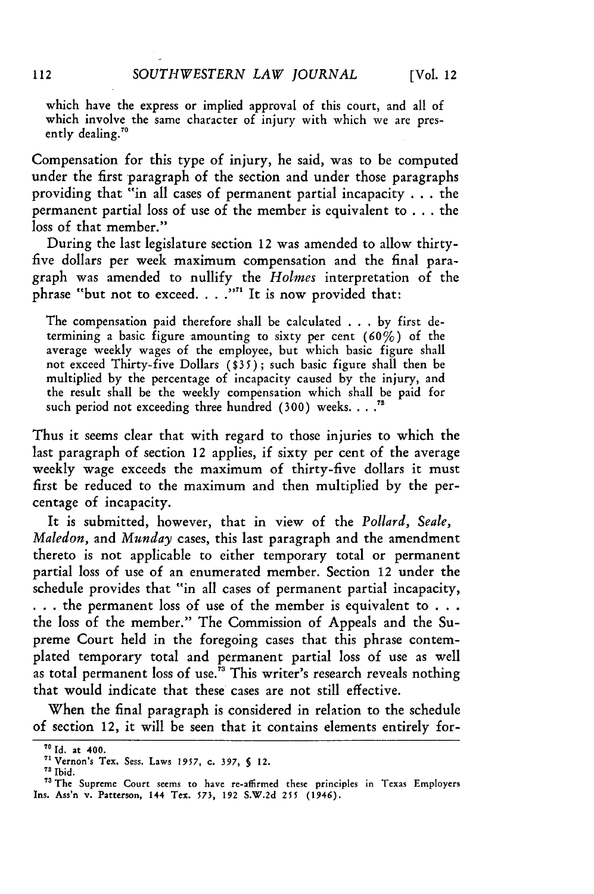which have the express or implied approval of this court, and all of which involve the same character of injury with which we are presently dealing."0

Compensation for this type of injury, he said, was to be computed under the first paragraph of the section and under those paragraphs providing that "in all cases of permanent partial incapacity . . . the permanent partial loss of use of the member is equivalent to **. .** .the loss of that member."

During the last legislature section 12 was amended to allow thirtyfive dollars per week maximum compensation and the final paragraph was amended to nullify the *Holmes* interpretation of the phrase "but not to exceed **... .""** It is now provided that:

The compensation paid therefore shall be calculated ...by first determining a basic figure amounting to sixty per cent (60%) of the average weekly wages of the employee, but which basic figure shall not exceed Thirty-five Dollars **(\$35);** such basic figure shall then be multiplied by the percentage of incapacity caused by the injury, and the result shall be the weekly compensation which shall be paid for such period not exceeding three hundred **(300)** weeks.... **.**

Thus it seems clear that with regard to those injuries to which the last paragraph of section 12 applies, if sixty per cent of the average weekly wage exceeds the maximum of thirty-five dollars it must first be reduced to the maximum and then multiplied by the percentage of incapacity.

It is submitted, however, that in view of the *Pollard, Seale, Maledon,* and *Munday* cases, this last paragraph and the amendment thereto is not applicable to either temporary total or permanent partial loss of use of an enumerated member. Section 12 under the schedule provides that "in all cases of permanent partial incapacity, **.. .**the permanent loss of use of the member is equivalent to **. ..** the loss of the member." The Commission of Appeals and the Supreme Court held in the foregoing cases that this phrase contemplated temporary total and permanent partial loss of use as well as total permanent loss of use.<sup> $73$ </sup> This writer's research reveals nothing that would indicate that these cases are not still effective.

When the final paragraph is considered in relation to the schedule of section 12, it will be seen that it contains elements entirely for-

**<sup>&</sup>quot; Id.** at **400.**

<sup>&</sup>quot; Vernon's Tex. Sess. Laws **1957, c. 397, 5 12.**

**<sup>72</sup>**Ibid.

<sup>&</sup>lt;sup>73</sup> The Supreme Court seems to have re-affirmed these principles in Texas Employers Ins. Ass'n **v.** Patterson, 144 Tex. **573, 192 S.W.2d 255** (1946).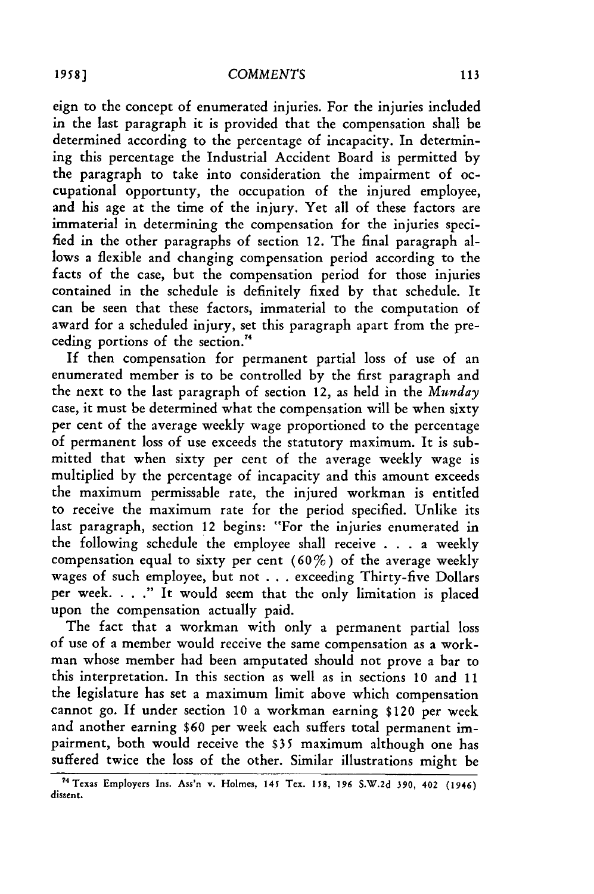eign to the concept of enumerated injuries. For the injuries included in the last paragraph it is provided that the compensation shall be determined according to the percentage of incapacity. In determining this percentage the Industrial Accident Board is permitted by the paragraph to take into consideration the impairment of occupational opportunty, the occupation of the injured employee, and his age at the time of the injury. Yet all of these factors are immaterial in determining the compensation for the injuries specified in the other paragraphs of section 12. The final paragraph allows a flexible and changing compensation period according to the facts of the case, but the compensation period for those injuries contained in the schedule is definitely fixed by that schedule. It can be seen that these factors, immaterial to the computation of award for a scheduled injury, set this paragraph apart from the preceding portions of the section."

If then compensation for permanent partial loss of use of an enumerated member is to be controlled by the first paragraph and the next to the last paragraph of section 12, as held in the *Munday* case, it must be determined what the compensation will be when sixty per cent of the average weekly wage proportioned to the percentage of permanent loss of use exceeds the statutory maximum. It is submitted that when sixty per cent of the average weekly wage is multiplied by the percentage of incapacity and this amount exceeds the maximum permissable rate, the injured workman is entitled to receive the maximum rate for the period specified. Unlike its last paragraph, section 12 begins: "For the injuries enumerated in the following schedule the employee shall receive . . . a weekly compensation equal to sixty per cent  $(60\%)$  of the average weekly wages of such employee, but not . . . exceeding Thirty-five Dollars per week. . . **."** It would seem that the only limitation is placed upon the compensation actually paid.

The fact that a workman with only a permanent partial loss of use of a member would receive the same compensation as a workman whose member had been amputated should not prove a bar to this interpretation. In this section as well as in sections **10** and **11** the legislature has set a maximum limit above which compensation cannot go. If under section **10** a workman earning \$120 per week and another earning **\$60** per week each suffers total permanent impairment, both would receive the \$35 maximum although one has suffered twice the loss of the other. Similar illustrations might be

<sup>?&</sup>quot;Texas Employers Ins. Ass'n v. Holmes, 145 Tex. 158, **196** S.W.2d 390, 402 (1946) dissent.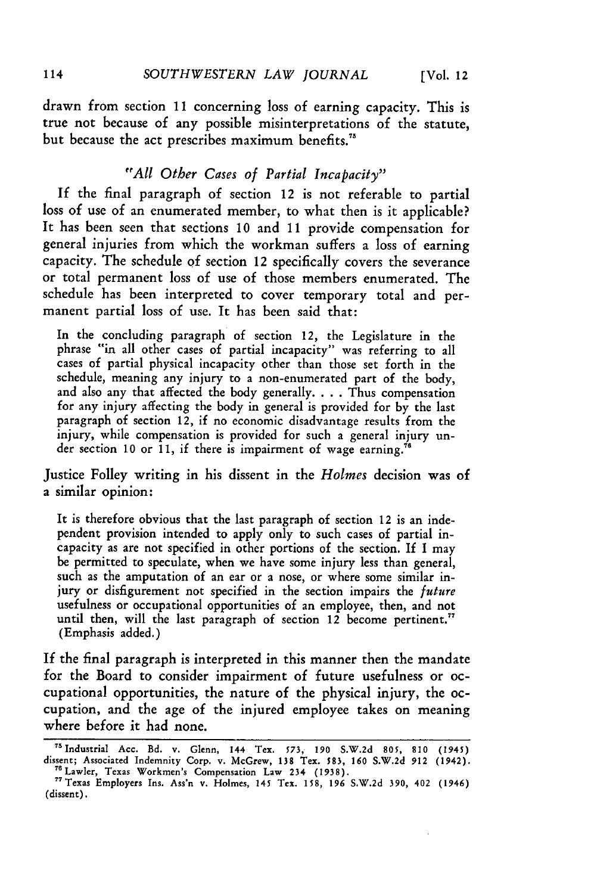drawn from section **11** concerning loss of earning capacity. This is true not because of any possible misinterpretations of the statute, but because the act prescribes maximum **benefits."**

## *"All Other Cases of Partial Incapacity"*

If the final paragraph of section 12 is not referable to partial loss of use of an enumerated member, to what then is it applicable? It has been seen that sections **10** and **11** provide compensation for general injuries from which the workman suffers a loss of earning capacity. The schedule **of** section 12 specifically covers the severance or total permanent loss of use of those members enumerated. The schedule has been interpreted to cover temporary total and permanent partial loss of use. It has been said that:

In the concluding paragraph of section 12, the Legislature in the phrase "in all other cases of partial incapacity" was referring to all cases of partial physical incapacity other than those set forth in the schedule, meaning any injury to a non-enumerated part of the body, and also any that affected the body generally. . . . Thus compensation for any injury affecting the body in general is provided for **by** the last paragraph of section 12, if no economic disadvantage results from the injury, while compensation is provided for such a general injury under section **10** or **11,** if there is impairment of wage earning."6

Justice Folley writing in his dissent in the *Holmes* decision was of a similar opinion:

It is therefore obvious that the last paragraph of section 12 is an independent provision intended to apply only to such cases of partial incapacity as are not specified in other portions of the section. **If** I may be permitted to speculate, when we have some injury less than general, such as the amputation of an ear or a nose, or where some similar injury or disfigurement not specified in the section impairs the *future* usefulness or occupational opportunities of an employee, then, and not until then, will the last paragraph of section 12 become pertinent." (Emphasis added.)

If the final paragraph is interpreted in this manner then the mandate for the Board to consider impairment of future usefulness or occupational opportunities, the nature of the physical injury, the occupation, and the age of the injured employee takes on meaning where before it had none.

<sup>&</sup>quot;s Industrial **Acc. Bd. v.** Glenn, **144 Tex. 573, 190 S.W.2d 805, 810** (1945) dissent; Associated Indemnity **Corp. v.** McGrew, **138** Tex. **583, 160 S.W.2d 912** (1942). **76Lawler,** Texas Workmen's Compensation **Law 234 (1938).**

<sup>&</sup>quot;eTexas **Employers** Ins. Ass'n **v. Holmes,** 145 Tex. **158, 196 S.W.2d 390, 402** (1946) (dissent).